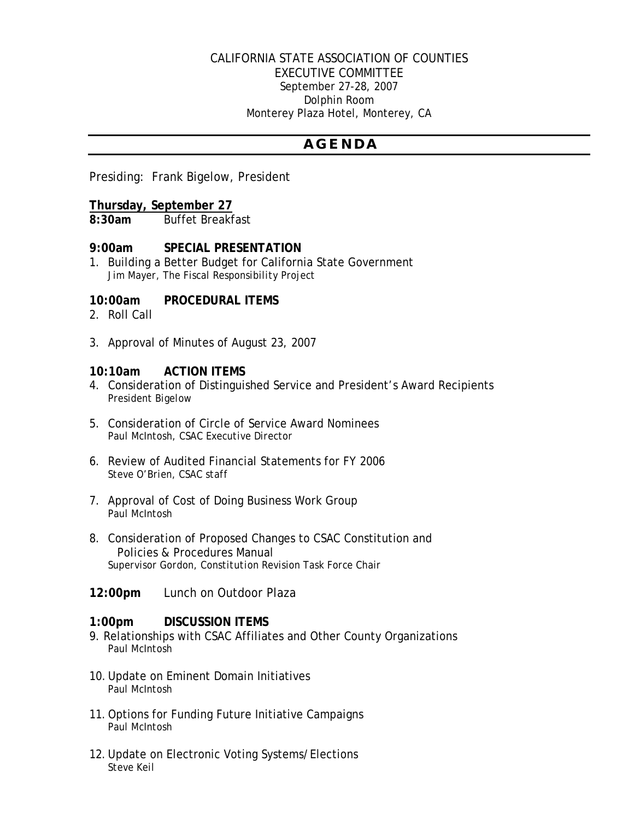### CALIFORNIA STATE ASSOCIATION OF COUNTIES EXECUTIVE COMMITTEE September 27-28, 2007 Dolphin Room Monterey Plaza Hotel, Monterey, CA

# *A G E N D A*

Presiding: Frank Bigelow, President

## **Thursday, September 27**

**8:30am** Buffet Breakfast

## **9:00am SPECIAL PRESENTATION**

1. Building a Better Budget for California State Government *Jim Mayer, The Fiscal Responsibility Project* 

## **10:00am PROCEDURAL ITEMS**

- 2. Roll Call
- 3. Approval of Minutes of August 23, 2007

### **10:10am ACTION ITEMS**

- 4. Consideration of Distinguished Service and President's Award Recipients *President Bigelow*
- 5. Consideration of Circle of Service Award Nominees *Paul McIntosh, CSAC Executive Director*
- 6. Review of Audited Financial Statements for FY 2006 *Steve O'Brien, CSAC staff*
- 7. Approval of Cost of Doing Business Work Group *Paul McIntosh*
- 8. Consideration of Proposed Changes to CSAC Constitution and Policies & Procedures Manual *Supervisor Gordon, Constitution Revision Task Force Chair*
- **12:00pm** Lunch on Outdoor Plaza

### **1:00pm DISCUSSION ITEMS**

- 9. Relationships with CSAC Affiliates and Other County Organizations *Paul McIntosh*
- 10. Update on Eminent Domain Initiatives  *Paul McIntosh*
- 11. Options for Funding Future Initiative Campaigns  *Paul McIntosh*
- 12. Update on Electronic Voting Systems/Elections *Steve Keil*